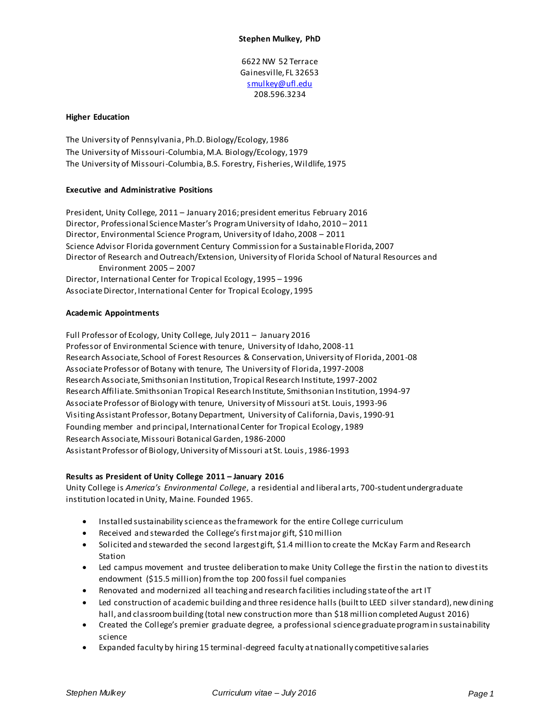6622 NW 52 Terrace Gainesville, FL 32653 [smulkey@ufl.edu](mailto:smulkey@ufl.edu) 208.596.3234

#### **Higher Education**

The University of Pennsylvania, Ph.D. Biology/Ecology, 1986 The University of Missouri-Columbia, M.A. Biology/Ecology, 1979 The University of Missouri-Columbia, B.S. Forestry, Fisheries, Wildlife, 1975

#### **Executive and Administrative Positions**

President, Unity College, 2011 – January 2016; president emeritus February 2016 Director, Professional Science Master's Program University of Idaho, 2010 – 2011 Director, Environmental Science Program, University of Idaho, 2008 – 2011 Science Advisor Florida government Century Commission for a Sustainable Florida, 2007 Director of Research and Outreach/Extension, University of Florida School of Natural Resources and Environment 2005 – 2007 Director, International Center for Tropical Ecology, 1995 – 1996 Associate Director, International Center for Tropical Ecology, 1995

#### **Academic Appointments**

Full Professor of Ecology, Unity College, July 2011 – January 2016 Professor of Environmental Science with tenure, University of Idaho, 2008-11 Research Associate, School of Forest Resources & Conservation, University of Florida, 2001-08 Associate Professor of Botany with tenure, The University of Florida, 1997-2008 Research Associate, Smithsonian Institution, Tropical Research Institute, 1997-2002 Research Affiliate. Smithsonian Tropical Research Institute, Smithsonian Institution, 1994-97 Associate Professor of Biology with tenure, University of Missouri at St. Louis, 1993-96 Visiting Assistant Professor, Botany Department, University of California, Davis, 1990-91 Founding member and principal, International Center for Tropical Ecology, 1989 Research Associate, Missouri Botanical Garden, 1986-2000 Assistant Professor of Biology, University of Missouri at St. Louis, 1986-1993

## **Results as President of Unity College 2011 – January 2016**

Unity College is *America's Environmental College*, a residential and liberal arts, 700-student undergraduate institution located in Unity, Maine. Founded 1965.

- Installed sustainability science as the framework for the entire College curriculum
- Received and stewarded the College's first major gift, \$10 million
- Solicited and stewarded the second largest gift, \$1.4 million to create the McKay Farm and Research Station
- Led campus movement and trustee deliberation to make Unity College the first in the nation to divest its endowment (\$15.5 million) from the top 200 fossil fuel companies
- Renovated and modernized all teaching and research facilities including state of the art IT
- Led construction of academic building and three residence halls (built to LEED silver standard), new dining hall, and classroom building (total new construction more than \$18 million completed August 2016)
- Created the College's premier graduate degree, a professional science graduate program in sustainability science
- Expanded faculty by hiring 15 terminal-degreed faculty at nationally competitive salaries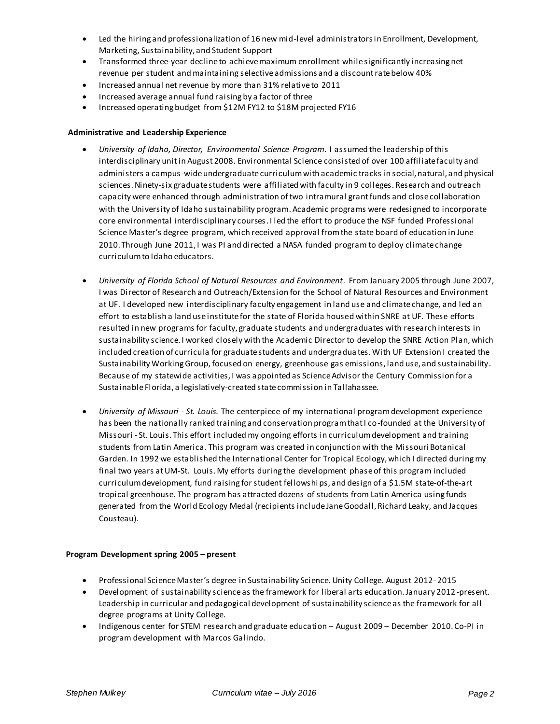- Led the hiring and professionalization of 16 new mid-level administrators in Enrollment, Development, Marketing, Sustainability, and Student Support
- Transformed three-year decline to achieve maximum enrollment while significantly increasing net revenue per student and maintaining selective admissions and a discount rate below 40%
- Increased annual net revenue by more than 31% relative to 2011
- Increased average annual fund raising by a factor of three
- Increased operating budget from \$12M FY12 to \$18M projected FY16

## **Administrative and Leadership Experience**

- *University of Idaho, Director, Environmental Science Program.* I assumed the leadership of this interdisciplinary unitin August 2008. Environmental Science consisted of over 100 affiliate faculty and administers a campus-wide undergraduate curriculum with academic tracks in social, natural, and physical sciences. Ninety-six graduate students were affiliated with faculty in 9 colleges. Research and outreach capacity were enhanced through administration of two intramural grant funds and close collaboration with the University of Idaho sustainability program. Academic programs were redesigned to incorporate core environmental interdisciplinary courses. I led the effort to produce the NSF funded Professional Science Master's degree program, which received approval from the state board of education in June 2010. Through June 2011, I was PI and directed a NASA funded program to deploy climate change curriculum to Idaho educators.
- *University of Florida School of Natural Resources and Environment.* From January 2005 through June 2007, I was Director of Research and Outreach/Extension for the School of Natural Resources and Environment at UF. I developed new interdisciplinary faculty engagement in land use and climate change, and led an effort to establish a land use institute for the state of Florida housed within SNRE at UF. These efforts resulted in new programs for faculty, graduate students and undergraduates with research interests in sustainability science. I worked closely with the Academic Director to develop the SNRE Action Plan, which included creation of curricula for graduate students and undergradua tes. With UF Extension I created the Sustainability Working Group, focused on energy, greenhouse gas emissions, land use, and sustainability. Because of my statewide activities, I was appointed as Science Advisor the Century Commission for a Sustainable Florida, a legislatively-created state commission in Tallahassee.
- *University of Missouri - St. Louis.* The centerpiece of my international program development experience has been the nationally ranked training and conservation program that I co-founded at the University of Missouri - St. Louis. This effort included my ongoing efforts in curriculum development and training students from Latin America. This program was created in conjunction with the Missouri Botanical Garden. In 1992 we established the International Center for Tropical Ecology, which I directed during my final two years at UM-St. Louis. My efforts during the development phase of this program included curriculum development, fund raising for student fellowshi ps, and design of a \$1.5M state-of-the-art tropical greenhouse. The program has attracted dozens of students from Latin America using funds generated from the World Ecology Medal (recipients include Jane Goodall, Richard Leaky, and Jacques Cousteau).

## **Program Development spring 2005 – present**

- Professional Science Master's degree in Sustainability Science. Unity College. August 2012- 2015
- Development of sustainability science as the framework for liberal arts education. January 2012 -present. Leadership in curricular and pedagogical development of sustainability science as the framework for all degree programs at Unity College.
- Indigenous center for STEM research and graduate education August 2009 December 2010. Co-PI in program development with Marcos Galindo.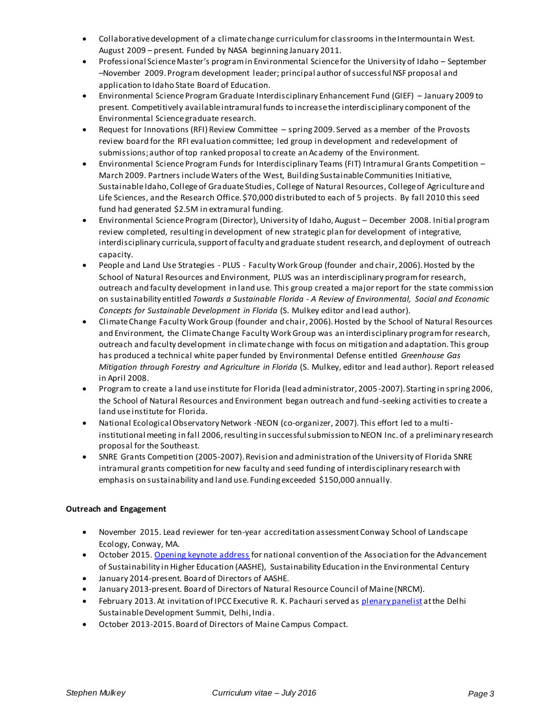- Collaborative development of a climate change curriculum for classrooms in the Intermountain West. August 2009 – present. Funded by NASA beginning January 2011.
- Professional Science Master's program in Environmental Science for the University of Idaho September –November 2009. Program development leader; principal author of successful NSF proposal and application to Idaho State Board of Education.
- Environmental Science Program Graduate Interdisciplinary Enhancement Fund (GIEF) January 2009 to present. Competitively available intramural funds to increase the interdisciplinary component of the Environmental Science graduate research.
- Request for Innovations (RFI) Review Committee spring 2009. Served as a member of the Provosts review board for the RFI evaluation committee; led group in development and redevelopment of submissions; author of top ranked proposal to create an Academy of the Environment.
- Environmental Science Program Funds for Interdisciplinary Teams (FIT) Intramural Grants Competition March 2009. Partners include Waters of the West, Building Sustainable Communities Initiative, Sustainable Idaho, College of Graduate Studies, College of Natural Resources, College of Agriculture and Life Sciences, and the Research Office. \$70,000 distributed to each of 5 projects. By fall 2010 this seed fund had generated \$2.5M in extramural funding.
- Environmental Science Program (Director), University of Idaho, August December 2008. Initial program review completed, resulting in development of new strategic plan for development of integrative, interdisciplinary curricula, support of faculty and graduate student research, and deployment of outreach capacity.
- People and Land Use Strategies PLUS Faculty Work Group (founder and chair, 2006). Hosted by the School of Natural Resources and Environment, PLUS was an interdisciplinary program for research, outreach and faculty development in land use. This group created a major report for the state commission on sustainability entitled *Towards a Sustainable Florida - A Review of Environmental, Social and Economic Concepts for Sustainable Development in Florida* (S. Mulkey editor and lead author).
- Climate Change Faculty Work Group (founder and chair, 2006). Hosted by the School of Natural Resources and Environment, the Climate Change Faculty Work Group was an interdisciplinary program for research, outreach and faculty development in climate change with focus on mitigation and adaptation. This group has produced a technical white paper funded by Environmental Defense entitled *Greenhouse Gas Mitigation through Forestry and Agriculture in Florida* (S. Mulkey, editor and lead author). Report released in April 2008.
- Program to create a land use institute for Florida (lead administrator, 2005-2007). Starting in spring 2006, the School of Natural Resources and Environment began outreach and fund-seeking activities to create a land use institute for Florida.
- National Ecological Observatory Network -NEON (co-organizer, 2007). This effort led to a multiinstitutional meeting in fall 2006, resulting in successful submission to NEON Inc. of a preliminary research proposal for the Southeast.
- SNRE Grants Competition (2005-2007). Revision and administration of the University of Florida SNRE intramural grants competition for new faculty and seed funding of interdisciplinary research with emphasis on sustainability and land use. Funding exceeded \$150,000 annually.

# **Outreach and Engagement**

- November 2015. Lead reviewer for ten-year accreditation assessment Conway School of Landscape Ecology, Conway, MA.
- October 2015[. Opening keynote address](https://www.youtube.com/watch?v=1VHHRrR4wWo&list=PLkWouUMH8JRH1QgAuUsk3UjKVJIkg6LkS&index=4) for national convention of the Association for the Advancement of Sustainability in Higher Education (AASHE), Sustainability Education in the Environmental Century
- January 2014-present. Board of Directors of AASHE.
- January 2013-present. Board of Directors of Natural Resource Council of Maine (NRCM).
- February 2013. At invitation of IPCC Executive R. K. Pachauri served a[s plenary panelist](https://www.youtube.com/watch?v=Bhu_DFfEbF0&list=PLxfb2G0oykVGY3eqXFlQSmBhNnpAf9k9K&index=5) at the Delhi Sustainable Development Summit, Delhi, India.
- October 2013-2015. Board of Directors of Maine Campus Compact.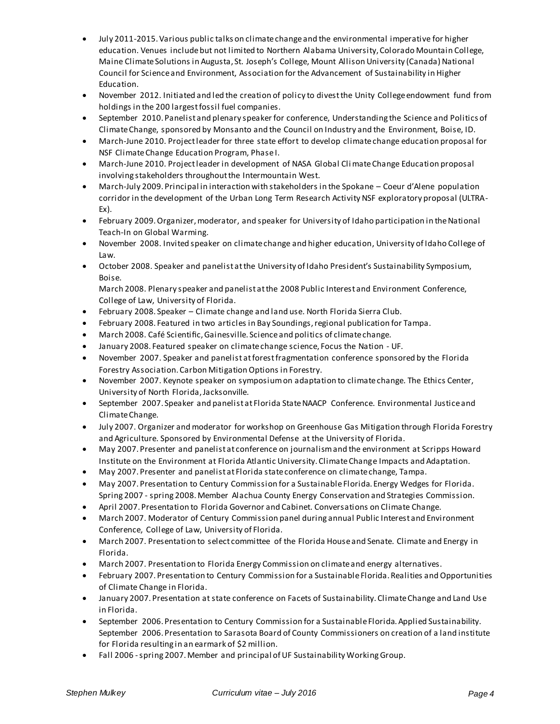- July 2011-2015. Various public talks on climate change and the environmental imperative for higher education. Venues include but not limited to Northern Alabama University, Colorado Mountain College, Maine Climate Solutions in Augusta, St. Joseph's College, Mount Allison University (Canada) National Council for Science and Environment, Association for the Advancement of Sustainability in Higher Education.
- November 2012. Initiated and led the creation of policy to divest the Unity College endowment fund from holdings in the 200 largest fossil fuel companies.
- September 2010. Panelist and plenary speaker for conference, Understanding the Science and Politics of Climate Change, sponsored by Monsanto and the Council on Industry and the Environment, Boise, ID.
- March-June 2010. Project leader for three state effort to develop climate change education proposal for NSF Climate Change Education Program, Phase I.
- March-June 2010. Project leader in development of NASA Global Climate Change Education proposal involving stakeholders throughout the Intermountain West.
- March-July 2009. Principal in interaction with stakeholders in the Spokane Coeur d'Alene population corridor in the development of the Urban Long Term Research Activity NSF exploratory proposal (ULTRA-Ex).
- February 2009. Organizer, moderator, and speaker for University of Idaho participation in the National Teach-In on Global Warming.
- November 2008. Invited speaker on climate change and higher education, University of Idaho College of Law.
- October 2008. Speaker and panelist at the University of Idaho President's Sustainability Symposium, Boise.

March 2008. Plenary speaker and panelist at the 2008 Public Interest and Environment Conference, College of Law, University of Florida.

- February 2008. Speaker Climate change and land use. North Florida Sierra Club.
- February 2008. Featured in two articles in Bay Soundings, regional publication for Tampa.
- March 2008. Café Scientific, Gainesville. Science and politics of climate change.
- January 2008. Featured speaker on climate change science, Focus the Nation UF.
- November 2007. Speaker and panelist at forest fragmentation conference sponsored by the Florida Forestry Association. Carbon Mitigation Options in Forestry.
- November 2007. Keynote speaker on symposium on adaptation to climate change. The Ethics Center, University of North Florida, Jacksonville.
- September 2007. Speaker and panelist at Florida State NAACP Conference. Environmental Justice and Climate Change.
- July 2007. Organizer and moderator for workshop on Greenhouse Gas Mitigation through Florida Forestry and Agriculture. Sponsored by Environmental Defense at the University of Florida.
- May 2007. Presenter and panelist at conference on journalism and the environment at Scripps Howard Institute on the Environment at Florida Atlantic University. Climate Change Impacts and Adaptation.
- May 2007. Presenter and panelist at Florida state conference on climate change, Tampa.
- May 2007. Presentation to Century Commission for a Sustainable Florida. Energy Wedges for Florida. Spring 2007 - spring 2008. Member Alachua County Energy Conservation and Strategies Commission.
- April 2007. Presentation to Florida Governor and Cabinet. Conversations on Climate Change.
- March 2007. Moderator of Century Commission panel during annual Public Interest and Environment Conference, College of Law, University of Florida.
- March 2007. Presentation to select committee of the Florida House and Senate. Climate and Energy in Florida.
- March 2007. Presentation to Florida Energy Commission on climate and energy alternatives.
- February 2007. Presentation to Century Commission for a Sustainable Florida. Realities and Opportunities of Climate Change in Florida.
- January 2007. Presentation at state conference on Facets of Sustainability. Climate Change and Land Use in Florida.
- September 2006. Presentation to Century Commission for a Sustainable Florida. Applied Sustainability. September 2006. Presentation to Sarasota Board of County Commissioners on creation of a land institute for Florida resulting in an earmark of \$2 million.
- Fall 2006 -spring 2007. Member and principal of UF Sustainability Working Group.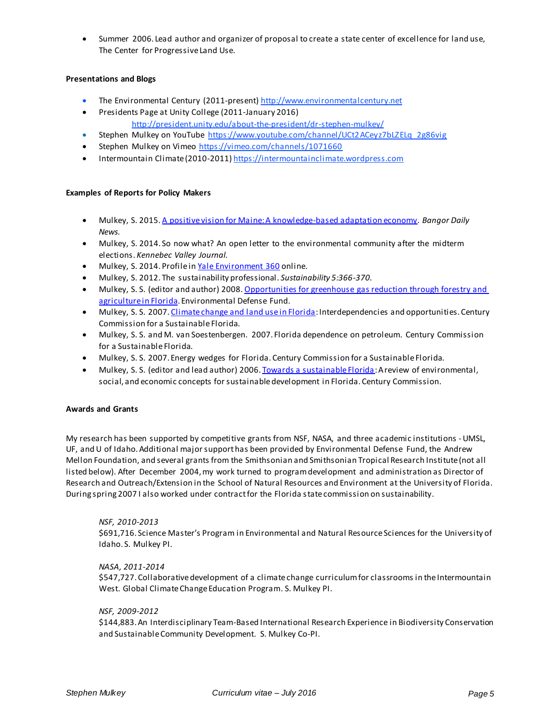Summer 2006. Lead author and organizer of proposal to create a state center of excellence for land use, The Center for Progressive Land Use.

## **Presentations and Blogs**

- The Environmental Century (2011-present[\) http://www.environmentalcentury.net](http://www.environmentalcentury.net/)
- **•** Presidents Page at Unity College (2011-January 2016) <http://president.unity.edu/about-the-president/dr-stephen-mulkey/>
- Stephen Mulkey on YouTube [https://www.youtube.com/channel/UCt2ACeyz7bLZELq\\_2g86vig](https://www.youtube.com/channel/UCt2ACeyz7bLZELq_2g86vig)
- Stephen Mulkey on Vimeo<https://vimeo.com/channels/1071660>
- Intermountain Climate (2010-2011[\) https://intermountainclimate.wordpress.com](https://intermountainclimate.wordpress.com/)

## **Examples of Reports for Policy Makers**

- Mulkey, S. 2015[. A positive vision for Maine: A knowledge-based adaptation economy.](http://environmentalcentury.net/2015/03/02/a-positive-vision-for-maine-a-knowledge-based-adaptation-economy/) *Bangor Daily News.*
- Mulkey, S. 2014. So now what? An open letter to the environmental community after the midterm elections. *Kennebec Valley Journal.*
- Mulkey, S. 2014. Profile i[n Yale Environment 360](http://e360.yale.edu/feature/interview_stephen_mulkey_how_a_small_college_launched_divestment_from_fossil_fuels/2773/) online.
- Mulkey, S. 2012. The sustainability professional. *Sustainability 5:366-370.*
- Mulkey, S. S. (editor and author) 2008. Opportunities for greenhouse gas reduction through forestry and [agriculture in Florida](http://snre.ufl.edu/research/greenhouse.htm). Environmental Defense Fund.
- Mulkey, S. S. 2007[. Climate change and land](http://www.snre.ufl.edu/home/files/Climate%20change%20and%20land%20use%20in%20Florida%20V8-1s.pdf) use in Florida: Interdependencies and opportunities. Century Commission for a Sustainable Florida.
- Mulkey, S. S. and M. van Soestenbergen. 2007. Florida dependence on petroleum. Century Commission for a Sustainable Florida.
- Mulkey, S. S. 2007. Energy wedges for Florida. Century Commission for a Sustainable Florida.
- Mulkey, S. S. (editor and lead author) 2006[. Towards a sustainable Florida](http://snre.ufl.edu/pubsevents/files/Applied%20Sustainability.pdf): A review of environmental, social, and economic concepts for sustainable development in Florida. Century Commission.

## **Awards and Grants**

My research has been supported by competitive grants from NSF, NASA, and three academic institutions -UMSL, UF, and U of Idaho. Additional major support has been provided by Environmental Defense Fund, the Andrew Mellon Foundation, and several grants from the Smithsonian and Smithsonian Tropical Research Institute (not all listed below). After December 2004, my work turned to program development and administration as Director of Research and Outreach/Extension in the School of Natural Resources and Environment at the University of Florida. During spring 2007 I also worked under contract for the Florida state commission on sustainability.

## *NSF, 2010-2013*

\$691,716. Science Master's Program in Environmental and Natural Resource Sciences for the University of Idaho. S. Mulkey PI.

## *NASA, 2011-2014*

\$547,727. Collaborative development of a climate change curriculum for classrooms in the Intermountain West. Global Climate Change Education Program. S. Mulkey PI.

## *NSF, 2009-2012*

\$144,883. An Interdisciplinary Team-Based International Research Experience in Biodiversity Conservation and Sustainable Community Development. S. Mulkey Co-PI.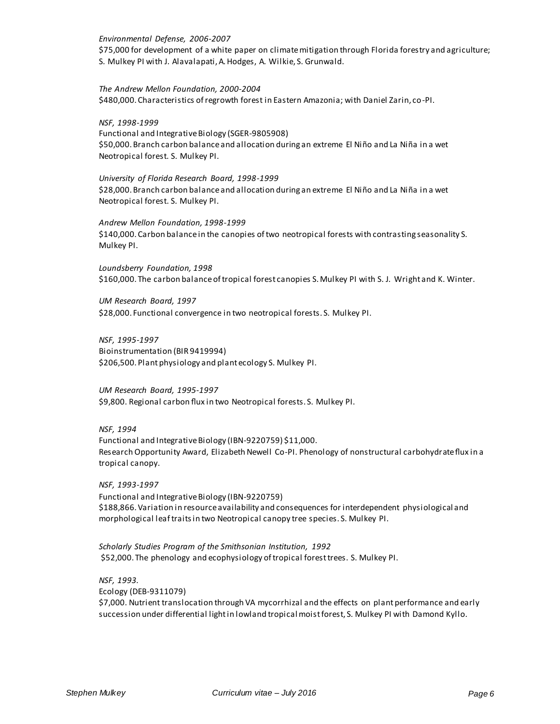#### *Environmental Defense, 2006-2007*

\$75,000 for development of a white paper on climate mitigation through Florida forestry and agriculture; S. Mulkey PI with J. Alavalapati, A. Hodges, A. Wilkie, S. Grunwald.

*The Andrew Mellon Foundation, 2000-2004* \$480,000. Characteristics of regrowth forest in Eastern Amazonia; with Daniel Zarin, co-PI.

#### *NSF, 1998-1999*

Functional and Integrative Biology (SGER-9805908) \$50,000. Branch carbon balance and allocation during an extreme El Niño and La Niña in a wet Neotropical forest. S. Mulkey PI.

#### *University of Florida Research Board, 1998-1999*

\$28,000. Branch carbon balance and allocation during an extreme El Niño and La Niña in a wet Neotropical forest. S. Mulkey PI.

*Andrew Mellon Foundation, 1998-1999* \$140,000. Carbon balance in the canopies of two neotropical forests with contrasting seasonality S. Mulkey PI.

*Loundsberry Foundation, 1998* \$160,000. The carbon balance of tropical forest canopies S. Mulkey PI with S. J. Wright and K. Winter.

*UM Research Board, 1997* \$28,000. Functional convergence in two neotropical forests. S. Mulkey PI.

*NSF, 1995-1997* Bioinstrumentation (BIR 9419994) \$206,500. Plant physiology and plant ecology S. Mulkey PI.

*UM Research Board, 1995-1997* \$9,800. Regional carbon flux in two Neotropical forests. S. Mulkey PI.

## *NSF, 1994*

Functional and Integrative Biology (IBN-9220759) \$11,000. Research Opportunity Award, Elizabeth Newell Co-PI. Phenology of nonstructural carbohydrate flux in a tropical canopy.

*NSF, 1993-1997* Functional and Integrative Biology (IBN-9220759) \$188,866. Variation in resource availability and consequences for interdependent physiological and morphological leaf traits in two Neotropical canopy tree species. S. Mulkey PI.

*Scholarly Studies Program of the Smithsonian Institution, 1992*  \$52,000. The phenology and ecophysiology of tropical forest trees. S. Mulkey PI.

*NSF, 1993.*  Ecology (DEB-9311079) \$7,000. Nutrient translocation through VA mycorrhizal and the effects on plant performance and early succession under differential light in lowland tropical moist forest, S. Mulkey PI with Damond Kyllo.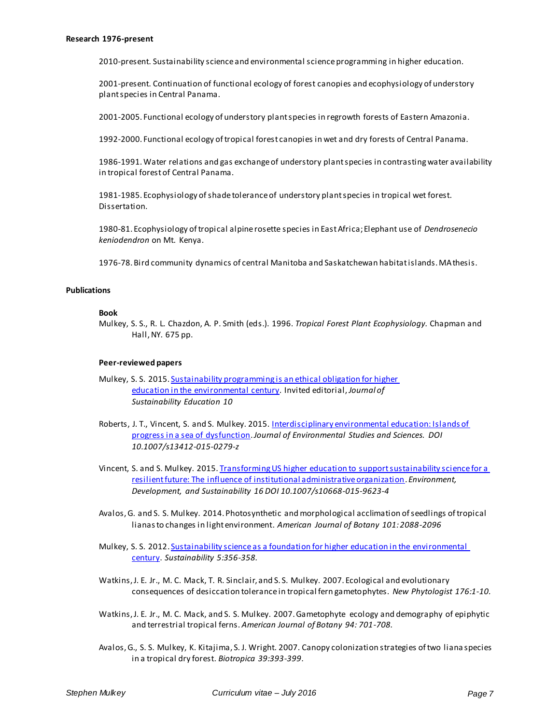2010-present. Sustainability scienceand environmental science programming in higher education.

2001-present. Continuation of functional ecology of forest canopies and ecophysiology of understory plant species in Central Panama.

2001-2005. Functional ecology of understory plant species in regrowth forests of Eastern Amazonia.

1992-2000. Functional ecology of tropical forest canopies in wet and dry forests of Central Panama.

1986-1991. Water relations and gas exchange of understory plant species in contrasting water availability in tropical forest of Central Panama.

1981-1985. Ecophysiology of shade tolerance of understory plant species in tropical wet forest. Dissertation.

1980-81. Ecophysiology of tropical alpine rosette species in East Africa; Elephant use of *Dendrosenecio keniodendron* on Mt. Kenya.

1976-78. Bird community dynamics of central Manitoba and Saskatchewan habitat islands. MA thesis.

#### **Publications**

#### **Book**

Mulkey, S. S., R. L. Chazdon, A. P. Smith (eds.). 1996. *Tropical Forest Plant Ecophysiology.* Chapman and Hall, NY. 675 pp.

#### **Peer-reviewed papers**

- Mulkey, S. S. 2015[. Sustainability programming is an ethical](http://www.jsedimensions.org/wordpress/content/sustainability-programming-is-an-ethical-obligation-for-higher-education-in-the-environmental-century_2015_11/) obligation for higher education [in the environmental century.](http://www.jsedimensions.org/wordpress/content/sustainability-programming-is-an-ethical-obligation-for-higher-education-in-the-environmental-century_2015_11/) Invited editorial, *Journal of Sustainability Education 10*
- Roberts, J. T., Vincent, S. and S. Mulkey. 2015. Interdisciplinary environmental education: Islands of [progress in a sea of dysfunction.](http://link.springer.com/article/10.1007%2Fs13412-015-0279-z) *Journal of Environmental Studies and Sciences. DOI 10.1007/s13412-015-0279-z*
- Vincent, S. and S. Mulkey. 2015[. Transforming US higher education to support sustainability science for a](http://link.springer.com/article/10.1007%2Fs10668-015-9623-4)  [resilient future: The influence of institutional administrative organization](http://link.springer.com/article/10.1007%2Fs10668-015-9623-4). *Environment, Development, and Sustainability 16 DOI 10.1007/s10668-015-9623-4*
- Avalos, G. and S. S. Mulkey. 2014. Photosynthetic and morphological acclimation of seedlings of tropical lianas to changes in light environment. *American Journal of Botany 101: 2088-2096*
- Mulkey, S. S. 2012. Sustainability science as a foundation for higher education in the environmental [century.](http://online.liebertpub.com/doi/abs/10.1089/SUS.2012.9918) *Sustainability 5:356-358.*
- Watkins, J. E. Jr., M. C. Mack, T. R. Sinclair, and S. S. Mulkey. 2007. Ecological and evolutionary consequences of desiccation tolerance in tropical fern gametophytes. *New Phytologist 176:1-10.*
- Watkins, J. E. Jr., M. C. Mack, and S. S. Mulkey. 2007. Gametophyte ecology and demography of epiphytic and terrestrial tropical ferns. *American Journal of Botany 94: 701-708.*
- Avalos, G., S. S. Mulkey, K. Kitajima, S. J. Wright. 2007. Canopy colonization strategies of two liana species in a tropical dry forest. *Biotropica 39:393-399*.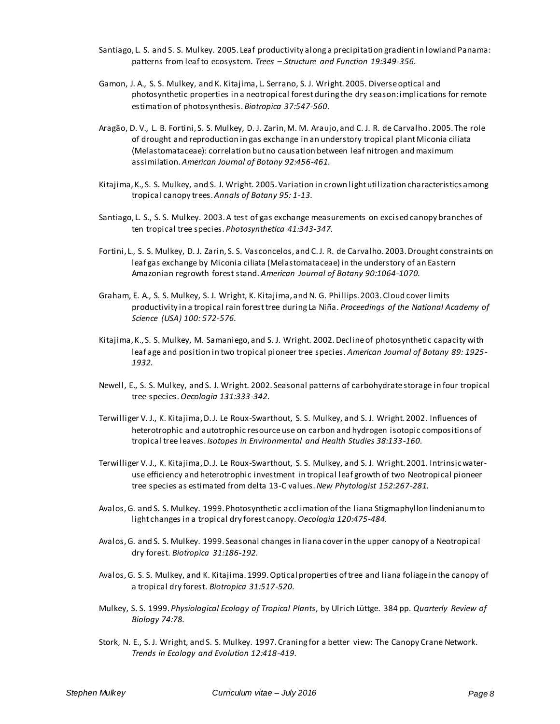- Santiago, L. S. and S. S. Mulkey. 2005. Leaf productivity along a precipitation gradient in lowland Panama: patterns from leaf to ecosystem. *Trees – Structure and Function 19:349-356.*
- Gamon, J. A., S. S. Mulkey, and K. Kitajima, L. Serrano, S. J. Wright. 2005. Diverse optical and photosynthetic properties in a neotropical forest during the dry season: implications for remote estimation of photosynthesis. *Biotropica 37:547-560.*
- Aragão, D. V., L. B. Fortini, S. S. Mulkey, D. J. Zarin, M. M. Araujo, and C. J. R. de Carvalho. 2005. The role of drought and reproduction in gas exchange in an understory tropical plant Miconia ciliata (Melastomataceae): correlation but no causation between leaf nitrogen and maximum assimilation. *American Journal of Botany 92:456-461.*
- Kitajima, K., S. S. Mulkey, and S. J. Wright. 2005. Variation in crown light utilization characteristics among tropical canopy trees. *Annals of Botany 95: 1-13.*
- Santiago, L. S., S. S. Mulkey. 2003. A test of gas exchange measurements on excised canopy branches of ten tropical tree species. *Photosynthetica 41:343-347.*
- Fortini, L., S. S. Mulkey, D. J. Zarin, S. S. Vasconcelos, and C. J. R. de Carvalho. 2003. Drought constraints on leaf gas exchange by Miconia ciliata (Melastomataceae) in the understory of an Eastern Amazonian regrowth forest stand. *American Journal of Botany 90:1064-1070.*
- Graham, E. A., S. S. Mulkey, S. J. Wright, K. Kitajima, and N. G. Phillips. 2003. Cloud cover limits productivity in a tropical rain forest tree during La Niña. *Proceedings of the National Academy of Science (USA) 100: 572-576.*
- Kitajima, K., S. S. Mulkey, M. Samaniego, and S. J. Wright. 2002. Decline of photosynthetic capacity with leaf age and position in two tropical pioneer tree species. *American Journal of Botany 89: 1925- 1932.*
- Newell, E., S. S. Mulkey, and S. J. Wright. 2002. Seasonal patterns of carbohydrate storage in four tropical tree species. *Oecologia 131:333-342.*
- Terwilliger V. J., K. Kitajima, D. J. Le Roux-Swarthout, S. S. Mulkey, and S. J. Wright. 2002. Influences of heterotrophic and autotrophic resource use on carbon and hydrogen isotopic compositions of tropical tree leaves. *Isotopes in Environmental and Health Studies 38:133-160.*
- Terwilliger V. J., K. Kitajima, D. J. Le Roux-Swarthout, S. S. Mulkey, and S. J. Wright. 2001. Intrinsic wateruse efficiency and heterotrophic investment in tropical leaf growth of two Neotropical pioneer tree species as estimated from delta 13-C values. *New Phytologist 152:267-281.*
- Avalos, G. and S. S. Mulkey. 1999. Photosynthetic accl imation of the liana Stigmaphyllon lindenianum to light changes in a tropical dry forest canopy. *Oecologia 120:475-484.*
- Avalos, G. and S. S. Mulkey. 1999. Seasonal changes in liana cover in the upper canopy of a Neotropical dry forest. *Biotropica 31:186-192.*
- Avalos, G. S. S. Mulkey, and K. Kitajima. 1999. Optical properties of tree and liana foliage in the canopy of a tropical dry forest. *Biotropica 31:517-520.*
- Mulkey, S. S. 1999. *Physiological Ecology of Tropical Plants*, by Ulrich Lüttge. 384 pp*. Quarterly Review of Biology 74:78.*
- Stork, N. E., S. J. Wright, and S. S. Mulkey. 1997. Craning for a better view: The Canopy Crane Network. *Trends in Ecology and Evolution 12:418-419.*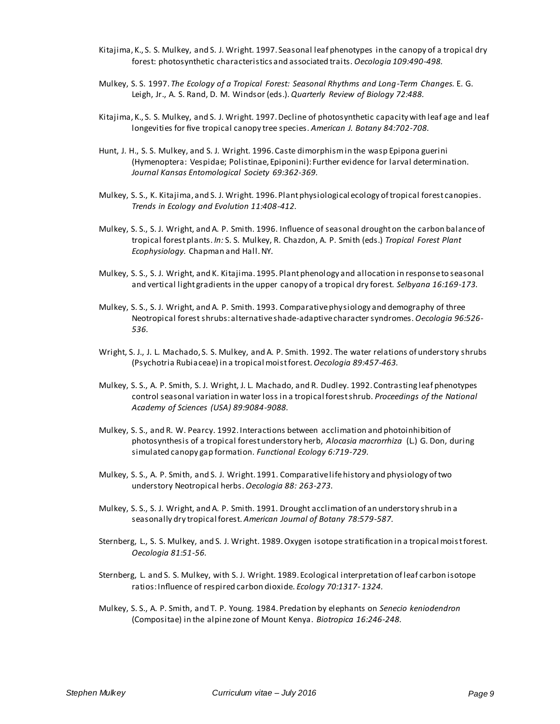- Kitajima, K., S. S. Mulkey, and S. J. Wright. 1997. Seasonal leaf phenotypes in the canopy of a tropical dry forest: photosynthetic characteristics and associated traits. *Oecologia 109:490-498.*
- Mulkey, S. S. 1997. *The Ecology of a Tropical Forest: Seasonal Rhythms and Long-Term Changes.* E. G. Leigh, Jr., A. S. Rand, D. M. Windsor (eds.). *Quarterly Review of Biology 72:488.*
- Kitajima, K., S. S. Mulkey, and S. J. Wright. 1997. Decline of photosynthetic capacity with leaf age and leaf longevities for five tropical canopy tree species. *American J. Botany 84:702-708.*
- Hunt, J. H., S. S. Mulkey, and S. J. Wright. 1996. Caste dimorphism in the wasp Epipona guerini (Hymenoptera: Vespidae; Polistinae, Epiponini): Further evidence for larval determination. *Journal Kansas Entomological Society 69:362-369.*
- Mulkey, S. S., K. Kitajima, and S. J. Wright. 1996. Plant physiological ecology of tropical forest canopies. *Trends in Ecology and Evolution 11:408-412.*
- Mulkey, S. S., S. J. Wright, and A. P. Smith. 1996. Influence of seasonal drought on the carbon balance of tropical forest plants. *In:* S. S. Mulkey, R. Chazdon, A. P. Smith (eds.) *Tropical Forest Plant Ecophysiology.* Chapman and Hall. NY.
- Mulkey, S. S., S. J. Wright, and K. Kitajima. 1995. Plant phenology and allocation in response to seasonal and vertical light gradients in the upper canopy of a tropical dry forest. *Selbyana 16:169-173.*
- Mulkey, S. S., S. J. Wright, and A. P. Smith. 1993. Comparative physiology and demography of three Neotropical forest shrubs: alternative shade-adaptive character syndromes. *Oecologia 96:526- 536.*
- Wright, S. J., J. L. Machado, S. S. Mulkey, and A. P. Smith. 1992. The water relations of understory shrubs (Psychotria Rubiaceae) in a tropical moist forest.*Oecologia 89:457-463.*
- Mulkey, S. S., A. P. Smith, S. J. Wright, J. L. Machado, and R. Dudley. 1992. Contrasting leaf phenotypes control seasonal variation in water loss in a tropical forest shrub. *Proceedings of the National Academy of Sciences (USA) 89:9084-9088.*
- Mulkey, S. S., and R. W. Pearcy. 1992. Interactions between acclimation and photoinhibition of photosynthesis of a tropical forest understory herb, *Alocasia macrorrhiza* (L.) G. Don, during simulated canopy gap formation. *Functional Ecology 6:719-729.*
- Mulkey, S. S., A. P. Smith, and S. J. Wright. 1991. Comparative life history and physiology of two understory Neotropical herbs. *Oecologia 88: 263-273.*
- Mulkey, S. S., S. J. Wright, and A. P. Smith. 1991. Drought acclimation of an understory shrub in a seasonally dry tropical forest. *American Journal of Botany 78:579-587.*
- Sternberg, L., S. S. Mulkey, and S. J. Wright. 1989. Oxygen isotope stratification in a tropical moist forest. *Oecologia 81:51-56.*
- Sternberg, L. and S. S. Mulkey, with S. J. Wright. 1989. Ecological interpretation of leaf carbon isotope ratios: Influence of respired carbon dioxide. *Ecology 70:1317- 1324.*
- Mulkey, S. S., A. P. Smith, and T. P. Young. 1984. Predation by elephants on *Senecio keniodendron*  (Compositae) in the alpine zone of Mount Kenya. *Biotropica 16:246-248.*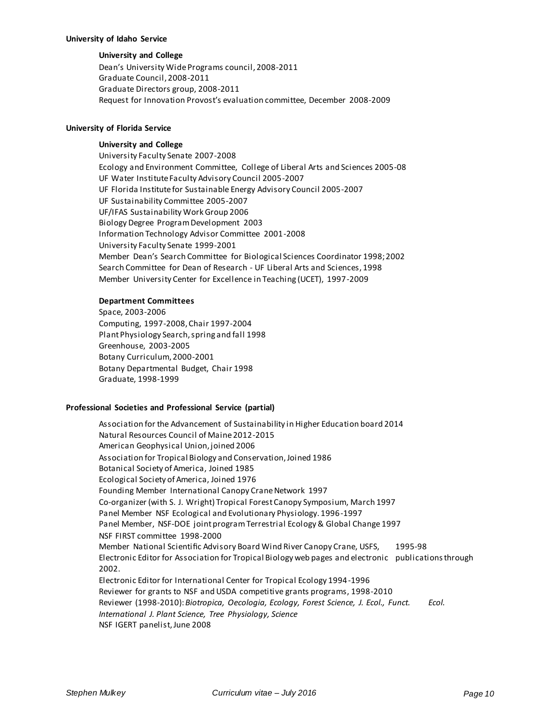#### **University of Idaho Service**

## **University and College**

Dean's University Wide Programs council, 2008-2011 Graduate Council, 2008-2011 Graduate Directors group, 2008-2011 Request for Innovation Provost's evaluation committee, December 2008-2009

## **University of Florida Service**

## **University and College**

University Faculty Senate 2007-2008 Ecology and Environment Committee, College of Liberal Arts and Sciences 2005-08 UF Water Institute Faculty Advisory Council 2005-2007 UF Florida Institute for Sustainable Energy Advisory Council 2005-2007 UF Sustainability Committee 2005-2007 UF/IFAS Sustainability Work Group 2006 Biology Degree Program Development 2003 Information Technology Advisor Committee 2001-2008 University Faculty Senate 1999-2001 Member Dean's Search Committee for Biological Sciences Coordinator 1998; 2002 Search Committee for Dean of Research - UF Liberal Arts and Sciences, 1998 Member University Center for Excellence in Teaching (UCET), 1997-2009

### **Department Committees**

Space, 2003-2006 Computing, 1997-2008, Chair 1997-2004 Plant Physiology Search, spring and fall 1998 Greenhouse, 2003-2005 Botany Curriculum, 2000-2001 Botany Departmental Budget, Chair 1998 Graduate, 1998-1999

## **Professional Societies and Professional Service (partial)**

Association for the Advancement of Sustainability in Higher Education board 2014 Natural Resources Council of Maine 2012-2015 American Geophysical Union, joined 2006 Association for Tropical Biology and Conservation, Joined 1986 Botanical Society of America, Joined 1985 Ecological Society of America, Joined 1976 Founding Member International Canopy Crane Network 1997 Co-organizer (with S. J. Wright) Tropical Forest Canopy Symposium, March 1997 Panel Member NSF Ecological and Evolutionary Physiology. 1996-1997 Panel Member, NSF-DOE joint program Terrestrial Ecology & Global Change 1997 NSF FIRST committee 1998-2000 Member National Scientific Advisory Board Wind River Canopy Crane, USFS, 1995-98 Electronic Editor for Association for Tropical Biology web pages and electronic publications through 2002. Electronic Editor for International Center for Tropical Ecology 1994-1996 Reviewer for grants to NSF and USDA competitive grants programs, 1998-2010 Reviewer (1998-2010): *Biotropica, Oecologia, Ecology, Forest Science, J. Ecol., Funct. Ecol. International J. Plant Science, Tree Physiology, Science* NSF IGERT panelist, June 2008